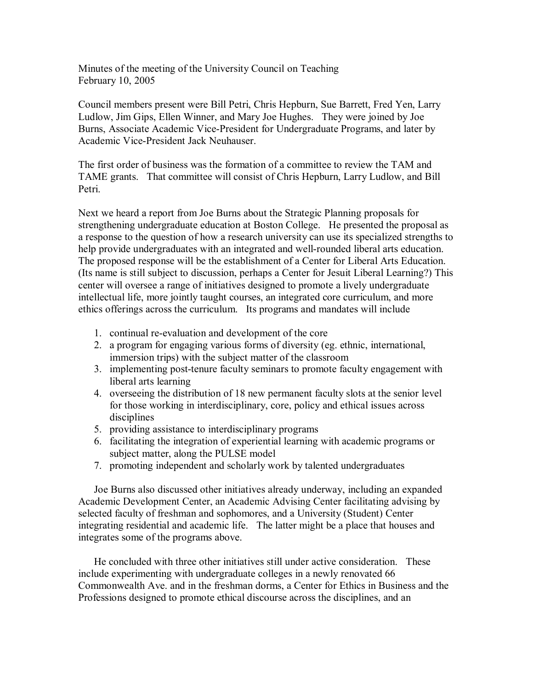Minutes of the meeting of the University Council on Teaching February 10, 2005

Council members present were Bill Petri, Chris Hepburn, Sue Barrett, Fred Yen, Larry Ludlow, Jim Gips, Ellen Winner, and Mary Joe Hughes. They were joined by Joe Burns, Associate Academic Vice-President for Undergraduate Programs, and later by Academic Vice-President Jack Neuhauser

The first order of business was the formation of a committee to review the TAM and TAME grants. That committee will consist of Chris Hepburn, Larry Ludlow, and Bill Petri.

Next we heard a report from Joe Burns about the Strategic Planning proposals for strengthening undergraduate education at Boston College. He presented the proposal as a response to the question of how a research university can use its specialized strengths to help provide undergraduates with an integrated and well-rounded liberal arts education. The proposed response will be the establishment of a Center for Liberal Arts Education. (Its name is still subject to discussion, perhaps a Center for Jesuit Liberal Learning?) This center will oversee a range of initiatives designed to promote a lively undergraduate intellectual life, more jointly taught courses, an integrated core curriculum, and more ethics offerings across the curriculum. Its programs and mandates will include

- 1. continual re-evaluation and development of the core
- 2. a program forengaging various forms of diversity (eg. ethnic, international, immersion trips) with the subject matter of the classroom
- 3. implementing post-tenure faculty seminars to promote faculty engagement with liberal arts learning
- 4. overseeing the distribution of 18 new permanent faculty slots at the senior level for those working in interdisciplinary, core, policy and ethical issues across disciplines
- 5. providing assistance to interdisciplinary programs
- 6. facilitating the integration of experiential learning with academic programs or subject matter, along the PULSE model
- 7. promoting independent and scholarly work by talented undergraduates

Joe Burns also discussed other initiatives already underway, including an expanded Academic Development Center, an Academic Advising Center facilitating advising by selected faculty of freshman and sophomores, and a University (Student) Center integrating residential and academic life. The latter might be a place that houses and integrates some of the programs above.

He concluded with three other initiatives still under active consideration. These include experimenting with undergraduate colleges in a newly renovated 66 Commonwealth Ave. and in the freshman dorms, a Center for Ethics in Business and the Professions designed to promote ethical discourse across the disciplines, and an